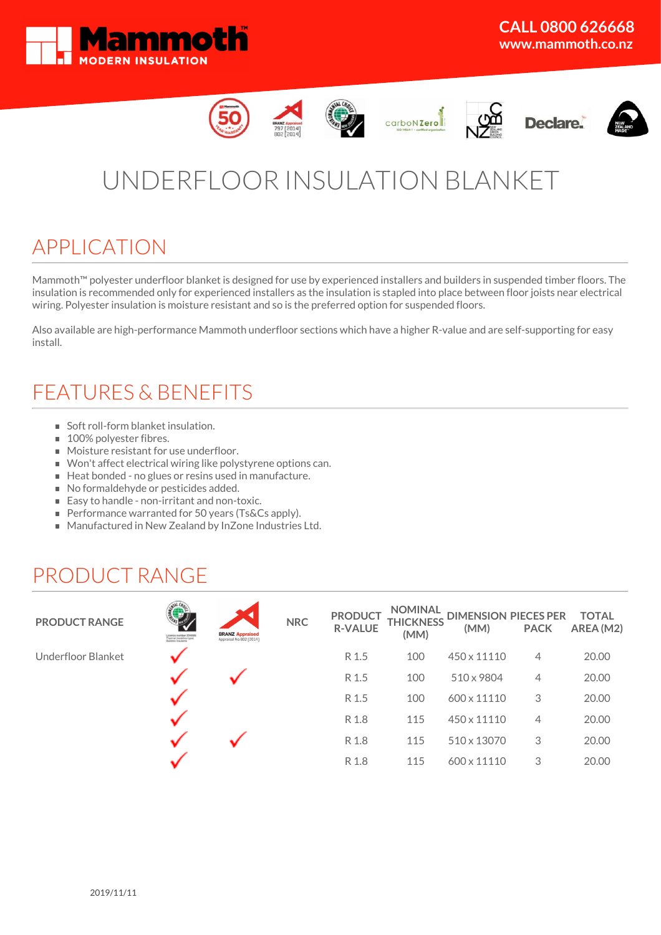













# UNDERFLOOR INSULATION BLANKET

### APPLICATION

Mammoth™ polyester underfloor blanket is designed for use by experienced installers and builders in suspended timber floors. The insulation is recommended only for experienced installers as the insulation is stapled into place between floor joists near electrical wiring. Polyester insulation is moisture resistant and so is the preferred option for suspended floors.

Also available are high-performance Mammoth underfloor sections which have a higher R-value and are self-supporting for easy install.

### FEATURES & BENEFITS

- Soft roll-form blanket insulation.
- 100% polyester fibres.
- **Moisture resistant for use underfloor.**
- Won't affect electrical wiring like polystyrene options can.
- Heat bonded no glues or resins used in manufacture.
- No formaldehyde or pesticides added.
- Easy to handle non-irritant and non-toxic.
- Performance warranted for 50 years (Ts&Cs apply).
- Manufactured in New Zealand by InZone Industries Ltd.

## PRODUCT RANGE

| <b>PRODUCT RANGE</b> | Licence number 2510065<br>Thermal (resistive-type)<br>Building Insulants | <b>BRANZ Appraised</b><br>Appraisal No.802 [2014] | <b>NRC</b> | <b>PRODUCT</b><br><b>R-VALUE</b> | <b>NOMINAL</b><br><b>THICKNESS</b><br>(MM) | <b>DIMENSION PIECES PER</b><br>(MM) | <b>PACK</b> | <b>TOTAL</b><br>AREA (M2) |
|----------------------|--------------------------------------------------------------------------|---------------------------------------------------|------------|----------------------------------|--------------------------------------------|-------------------------------------|-------------|---------------------------|
| Underfloor Blanket   |                                                                          |                                                   |            | R 1.5                            | 100                                        | 450 x 11110                         | 4           | 20.00                     |
|                      |                                                                          |                                                   |            | R 1.5                            | 100                                        | 510 x 9804                          | 4           | 20.00                     |
|                      |                                                                          |                                                   |            | R 1.5                            | 100                                        | 600 x 11110                         | 3           | 20.00                     |
|                      |                                                                          |                                                   |            | R 1.8                            | 115                                        | 450 x 11110                         | 4           | 20.00                     |
|                      |                                                                          |                                                   |            | R 1.8                            | 115                                        | 510 x 13070                         | 3           | 20.00                     |
|                      |                                                                          |                                                   |            | R 1.8                            | 115                                        | 600 x 11110                         | 3           | 20.00                     |
|                      |                                                                          |                                                   |            |                                  |                                            |                                     |             |                           |